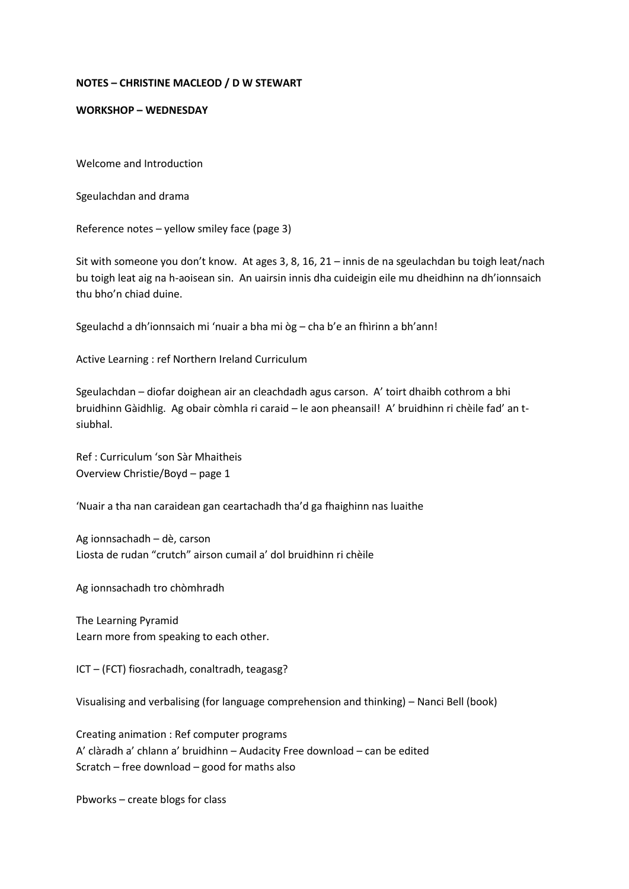## **NOTES – CHRISTINE MACLEOD / D W STEWART**

## **WORKSHOP – WEDNESDAY**

Welcome and Introduction

Sgeulachdan and drama

Reference notes – yellow smiley face (page 3)

Sit with someone you don't know. At ages 3, 8, 16, 21 – innis de na sgeulachdan bu toigh leat/nach bu toigh leat aig na h-aoisean sin. An uairsin innis dha cuideigin eile mu dheidhinn na dh'ionnsaich thu bho'n chiad duine.

Sgeulachd a dh'ionnsaich mi 'nuair a bha mi òg – cha b'e an fhìrinn a bh'ann!

Active Learning : ref Northern Ireland Curriculum

Sgeulachdan – diofar doighean air an cleachdadh agus carson. A' toirt dhaibh cothrom a bhi bruidhinn Gàidhlig. Ag obair còmhla ri caraid – le aon pheansail! A' bruidhinn ri chèile fad' an tsiubhal.

Ref : Curriculum 'son Sàr Mhaitheis Overview Christie/Boyd – page 1

'Nuair a tha nan caraidean gan ceartachadh tha'd ga fhaighinn nas luaithe

Ag ionnsachadh – dè, carson Liosta de rudan "crutch" airson cumail a' dol bruidhinn ri chèile

Ag ionnsachadh tro chòmhradh

The Learning Pyramid Learn more from speaking to each other.

ICT – (FCT) fiosrachadh, conaltradh, teagasg?

Visualising and verbalising (for language comprehension and thinking) – Nanci Bell (book)

Creating animation : Ref computer programs A' clàradh a' chlann a' bruidhinn – Audacity Free download – can be edited Scratch – free download – good for maths also

Pbworks – create blogs for class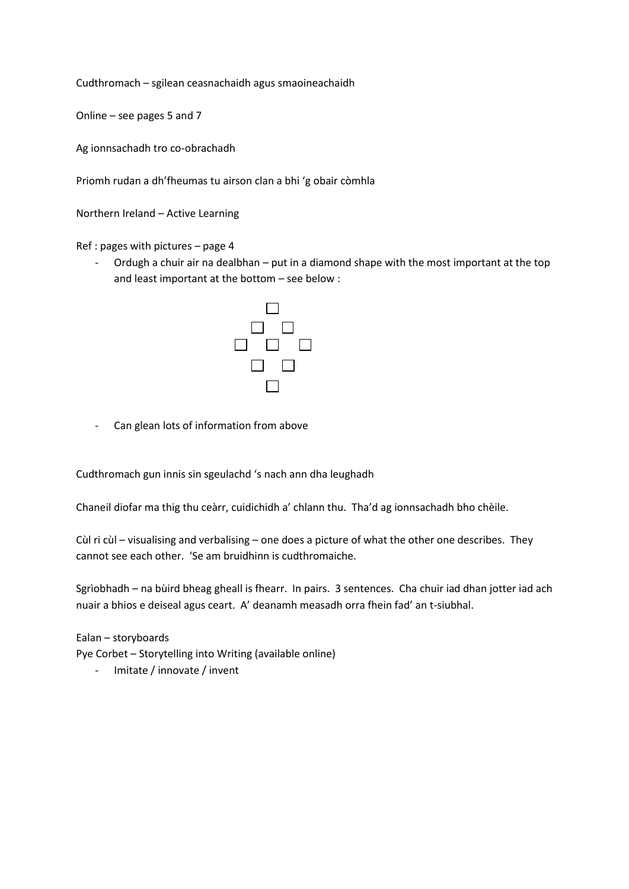Cudthromach – sgilean ceasnachaidh agus smaoineachaidh

Online – see pages 5 and 7

Ag ionnsachadh tro co-obrachadh

Priomh rudan a dh'fheumas tu airson clan a bhi 'g obair còmhla

Northern Ireland – Active Learning

Ref : pages with pictures – page 4

- Ordugh a chuir air na dealbhan – put in a diamond shape with the most important at the top and least important at the bottom – see below :



Can glean lots of information from above

Cudthromach gun innis sin sgeulachd 's nach ann dha leughadh

Chaneil diofar ma thig thu ceàrr, cuidichidh a' chlann thu. Tha'd ag ionnsachadh bho chèile.

Cùl ri cùl – visualising and verbalising – one does a picture of what the other one describes. They cannot see each other. 'Se am bruidhinn is cudthromaiche.

Sgrìobhadh – na bùird bheag gheall is fhearr. In pairs. 3 sentences. Cha chuir iad dhan jotter iad ach nuair a bhios e deiseal agus ceart. A' deanamh measadh orra fhein fad' an t-siubhal.

Ealan – storyboards Pye Corbet – Storytelling into Writing (available online)

- Imitate / innovate / invent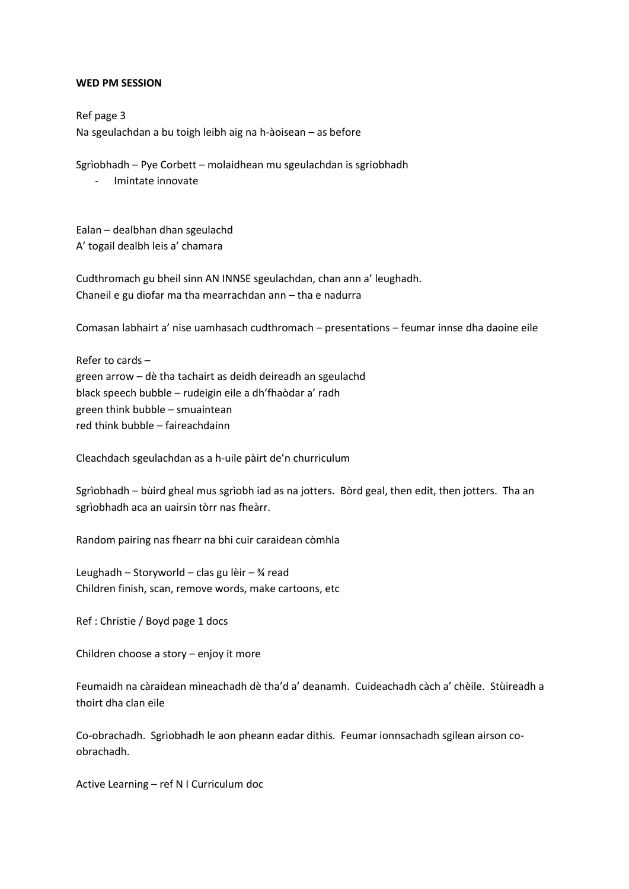## **WED PM SESSION**

Ref page 3 Na sgeulachdan a bu toigh leibh aig na h-àoisean – as before

Sgrìobhadh – Pye Corbett – molaidhean mu sgeulachdan is sgriobhadh

- Imintate innovate

Ealan – dealbhan dhan sgeulachd A' togail dealbh leis a' chamara

Cudthromach gu bheil sinn AN INNSE sgeulachdan, chan ann a' leughadh. Chaneil e gu diofar ma tha mearrachdan ann – tha e nadurra

Comasan labhairt a' nise uamhasach cudthromach – presentations – feumar innse dha daoine eile

Refer to cards – green arrow – dè tha tachairt as deidh deireadh an sgeulachd black speech bubble – rudeigin eile a dh'fhaòdar a' radh green think bubble – smuaintean red think bubble – faireachdainn

Cleachdach sgeulachdan as a h-uile pàirt de'n churriculum

Sgrìobhadh – bùird gheal mus sgrìobh iad as na jotters. Bòrd geal, then edit, then jotters. Tha an sgrìobhadh aca an uairsin tòrr nas fheàrr.

Random pairing nas fhearr na bhi cuir caraidean còmhla

Leughadh – Storyworld – clas gu lèir – ¾ read Children finish, scan, remove words, make cartoons, etc

Ref : Christie / Boyd page 1 docs

Children choose a story – enjoy it more

Feumaidh na càraidean mìneachadh dè tha'd a' deanamh. Cuideachadh càch a' chèile. Stùireadh a thoirt dha clan eile

Co-obrachadh. Sgrìobhadh le aon pheann eadar dithis. Feumar ionnsachadh sgilean airson coobrachadh.

Active Learning – ref N I Curriculum doc